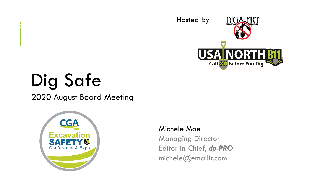

# Dig Safe

 $\frac{1}{1}$ 

2020 August Board Meeting



#### Michele Moe

Managing Director Editor-in-Chief, *dp-PRO* michele@emailir.com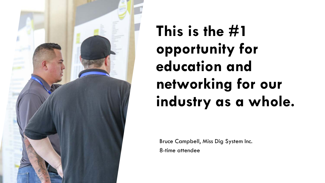

 **industry as a whole. This is the #1 opportunity for education and networking for our** 

Bruce Campbell, Miss Dig System Inc.

8-time attendee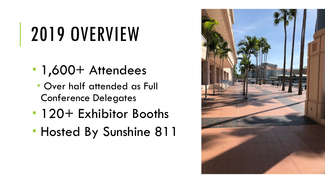# 2019 OVERVIEW

- 1,600+ Attendees
	- Over half attended as Full Conference Delegates
- **120+ Exhibitor Booths**
- Hosted By Sunshine 811

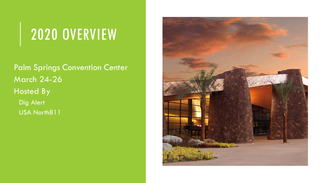#### 2020 OVERVIEW

Palm Springs Convention Center March 24-26 Hosted By Dig Alert USA North811

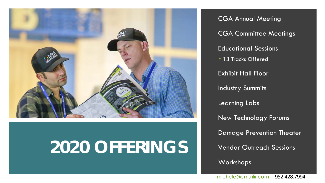

### **2020 OFFERINGS**

CGA Annual Meeting CGA Committee Meetings Educational Sessions **13 Tracks Offered** Exhibit Hall Floor Industry Summits Learning Labs New Technology Forums Damage Prevention Theater Vendor Outreach Sessions Workshops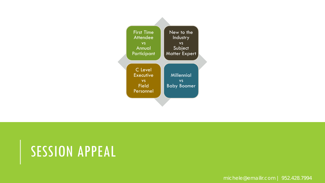

#### SESSION APPEAL

michele@emailir.com | 952.428.7994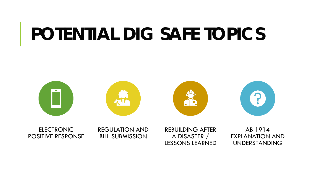# **POTENTIAL DIG SAFE TOPICS**



ELECTRONIC REGULATION AND REBUILDING AFTER AB 1914 POSITIVE RESPONSE BILL SUBMISSION A DISASTER / EXPLANATION AND A RESPONSE BILL SUBMISSION

UNDERSTANDING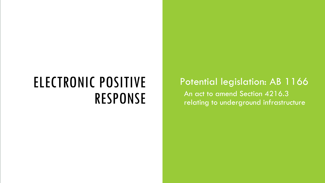#### ELECTRONIC POSITIVE RESPONSE

 relating to underground infrastructure Potential legislation: AB 1166 An act to amend Section 4216.3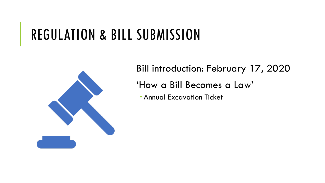#### REGULATION & BILL SUBMISSION



 'How a Bill Becomes a Law' Bill introduction: February 17, 2020

**Annual Excavation Ticket**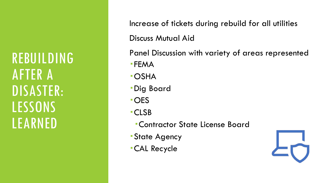REBUILDING AFTER A DISASTER: LESSONS LEARNED

Increase of tickets during rebuild for all utilities Discuss Mutual Aid

Panel Discussion with variety of areas represented

- FEMA
- OSHA
- Dig Board
- OES
- CLSB
	- Contractor State License Board
- State Agency
- CAL Recycle

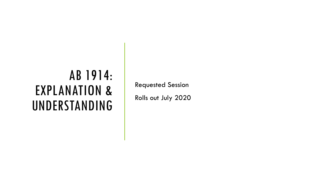#### AB 1914: EXPLANATION & UNDERSTANDING

Requested Session

Rolls out July 2020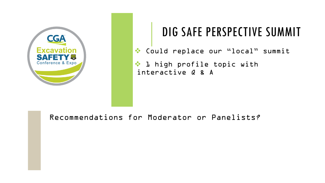

#### DIG SAFE PERSPECTIVE SUMMIT

Could replace our "local" summit

❖ l high profile topic with interactive Q & A

Recommendations for Moderator or Panelists?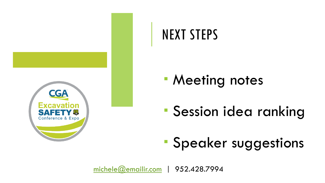

#### NEXT STEPS

- **Meeting notes**
- Session idea ranking
- Speaker suggestions

[michele@emailir.com](mailto:michele@emailir.com) | 952.428.7994